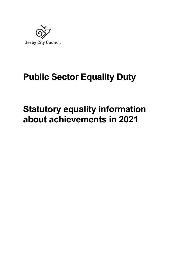

# **Public Sector Equality Duty**

# **Statutory equality information about achievements in 2021**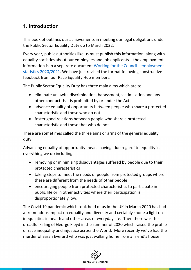# **1. Introduction**

This booklet outlines our achievements in meeting our legal obligations under the Public Sector Equality Duty up to March 2022.

Every year, public authorities like us must publish this information, along with equality statistics about our employees and job applicants – the employment information is in a separate document [Working for the Council - employment](https://www.derby.gov.uk/media/derbycitycouncil/contentassets/documents/communityandliving/equalities/equality-employment-statistics-20-21.pdf)  [statistics 2020/2021.](https://www.derby.gov.uk/media/derbycitycouncil/contentassets/documents/communityandliving/equalities/equality-employment-statistics-20-21.pdf) We have just revised the format following constructive feedback from our Race Equality Hub members.

The Public Sector Equality Duty has three main aims which are to:

- eliminate unlawful discrimination, harassment, victimisation and any other conduct that is prohibited by or under the Act
- advance equality of opportunity between people who share a protected characteristic and those who do not
- foster good relations between people who share a protected characteristic and those that who do not.

These are sometimes called the three aims or arms of the general equality duty.

Advancing equality of opportunity means having 'due regard' to equality in everything we do including:

- removing or minimising disadvantages suffered by people due to their protected characteristics
- taking steps to meet the needs of people from protected groups where these are different from the needs of other people
- encouraging people from protected characteristics to participate in public life or in other activities where their participation is disproportionately low.

The Covid 19 pandemic which took hold of us in the UK in March 2020 has had a tremendous impact on equality and diversity and certainly shone a light on inequalities in health and other areas of everyday life. Then there was the dreadful killing of George Floyd in the summer of 2020 which raised the profile of race inequality and injustice across the World. More recently we've had the murder of Sarah Everard who was just walking home from a friend's house

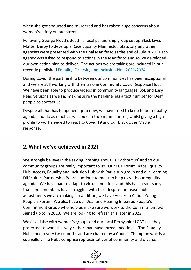when she got abducted and murdered and has raised huge concerns about women's safety on our streets.

Following George Floyd's death, a local partnership group set up Black Lives Matter Derby to develop a Race Equality Manifesto. Statutory and other agencies were presented with the final Manifesto at the end of July 2020. Each agency was asked to respond to actions in the Manifesto and so we developed our own action plan to deliver. The actions we are taking are included in our recently published [Equality, Diversity and Inclusion Plan 2021/2024.](https://www.derby.gov.uk/media/derbycitycouncil/contentassets/documents/communityandliving/equalities/equality-diversity-inclusion-plan-2021-2024.pdf)

During Covid, the partnership between our communities has been exceptional and we are still working with them as one Community Covid Response Hub. We have been able to produce videos in community languages, BSL and Easy Read versions as well as making sure the helpline has a text number for Deaf people to contact us.

Despite all that has happened up to now, we have tried to keep to our equality agenda and do as much as we could in the circumstances, whilst giving a high profile to work needed to react to Covid 19 and our Black Lives Matter response.

# **2. What we've achieved in 2021**

We strongly believe in the saying 'nothing about us, without us' and so our community groups are really important to us. Our 60+ Forum, Race Equality Hub, Access, Equality and Inclusion Hub with Parks sub-group and our Learning Difficulties Partnership Board continue to meet to help us with our equality agenda. We have had to adapt to virtual meetings and this has meant sadly that some members have struggled with this, despite the reasonable adjustments we are making. In addition, we have Voices in Action Young People's Forum. We also have our Deaf and Hearing Impaired People's Commitment Group who help us make sure we work to the Commitment we signed up to in 2013. We are looking to refresh this later in 2022.

We also liaise with women's groups and our local Derbyshire LGBT+ as they preferred to work this way rather than have formal meetings. The Equality Hubs meet every two months and are chaired by a Council Champion who is a councillor. The Hubs comprise representatives of community and diverse

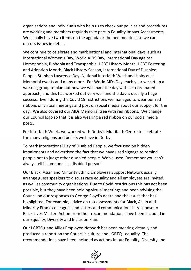organisations and individuals who help us to check our policies and procedures are working and members regularly take part in Equality Impact Assessments. We usually have two items on the agenda or themed meetings so we can discuss issues in detail.

We continue to celebrate and mark national and international days, such as International Women's Day, World AIDS Day, International Day against Homophobia, Biphobia and Transphobia, LGBT History Month, LGBT Fostering and Adoption Month, Black History Season, International Day of Disabled People, Stephen Lawrence Day, National Interfaith Week and Holocaust Memorial events and many more. For World AIDs Day, each year we set up a working group to plan out how we will mark the day with a co-ordinated approach, and this has worked out very well and the day is usually a huge success. Even during the Covid 19 restrictions we managed to wear our red ribbons on virtual meetings and post on social media about our support for the day. We also covered our AIDs Memorial tree with red ribbons. We change our Council logo so that it is also wearing a red ribbon on our social media posts.

For Interfaith Week, we worked with Derby's Multifaith Centre to celebrate the many religions and beliefs we have in Derby.

To mark International Day of Disabled People, we focussed on hidden impairments and advertised the fact that we have used signage to remind people not to judge other disabled people. We've used 'Remember you can't always tell if someone is a disabled person'

Our Black, Asian and Minority Ethnic Employees Support Network usually arrange guest speakers to discuss race equality and all employees are invited, as well as community organisations. Due to Covid restrictions this has not been possible, but they have been holding virtual meetings and been advising the Council on our responses to George Floyd's death and the issues that has highlighted. For example, advice on risk assessments for Black, Asian and Minority Ethnic colleagues and letters and communications in response to Black Lives Matter. Action from their recommendations have been included in our Equality, Diversity and Inclusion Plan.

Our LGBTQ+ and Allies Employee Network has been meeting virtually and produced a report on the Council's culture and LGBTQ+ equality. The recommendations have been included as actions in our Equality, Diversity and

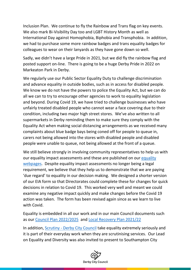Inclusion Plan. We continue to fly the Rainbow and Trans flag on key events. We also mark Bi-Visibility Day too and LGBT History Month as well as International Day against Homophobia, Biphobia and Transphobia. In addition, we had to purchase some more rainbow badges and trans equality badges for colleagues to wear on their lanyards as they have gone down so well.

Sadly, we didn't have a large Pride in 2021, but we did fly the rainbow flag and posted support on-line. There is going to be a huge Derby Pride in 2022 on Markeaton Park in Derby.

We regularly use our Public Sector Equality Duty to challenge discrimination and advance equality in outside bodies, such as in access for disabled people. We know we do not have the powers to police the Equality Act, but we can do all we can to try to encourage other agencies to work to equality legislation and beyond. During Covid 19, we have tried to challenge businesses who have unfairly treated disabled people who cannot wear a face covering due to their condition, including two major high street stores. We've also written to all supermarkets in Derby reminding them to make sure they comply with the Equality Act when making social distancing arrangements as we received many complaints about blue badge bays being coned off for people to queue in, carers not being allowed into the stores with disabled people and disabled people were unable to queue, not being allowed at the front of a queue.

We still believe strongly in involving community representatives to help us with our equality impact assessments and these are published on our [equality](http://www.derby.gov.uk/community-and-living/equality-diversity/equality-impact-assessments/)  [webpages.](http://www.derby.gov.uk/community-and-living/equality-diversity/equality-impact-assessments/) Despite equality impact assessments no longer being a legal requirement, we believe that they help us to demonstrate that we are paying 'due regard' to equality in our decision making. We designed a shorter version of our EIA form so that Directorates could complete these for changes for quick decisions in relation to Covid 19. This worked very well and meant we could examine any negative impact quickly and make changes before the Covid 19 action was taken. The form has been revised again since as we learn to live with Covid.

Equality is embedded in all our work and in our main Council documents such as our [Council Plan 2022/2025](https://www.derby.gov.uk/news/media/derbycitycouncil/content/documents/news/DCC_Council_Plan_2022-2025.pdf) and [Local Recovery Plan 2021/22](https://democracy.derby.gov.uk/Document.ashx?czJKcaeAi5tUFL1DTL2UE4zNRBcoShgo=31vjy%2fQSLFa8zyr6rIoY53O3XUE8belA%2fGEBLh4f6SuwRsbiZM1QnA%3d%3d&rUzwRPf%2bZ3zd4E7Ikn8Lyw%3d%3d=pwRE6AGJFLDNlh225F5QMaQWCtPHwdhUfCZ%2fLUQzgA2uL5jNRG4jdQ%3d%3d&mCTIbCubSFfXsDGW9IXnlg%3d%3d=hFflUdN3100%3d&kCx1AnS9%2fpWZQ40DXFvdEw%3d%3d=hFflUdN3100%3d&uJovDxwdjMPoYv%2bAJvYtyA%3d%3d=ctNJFf55vVA%3d&FgPlIEJYlotS%2bYGoBi5olA%3d%3d=NHdURQburHA%3d&d9Qjj0ag1Pd993jsyOJqFvmyB7X0CSQK=ctNJFf55vVA%3d&WGewmoAfeNR9xqBux0r1Q8Za60lavYmz=ctNJFf55vVA%3d&WGewmoAfeNQ16B2MHuCpMRKZMwaG1PaO=ctNJFf55vVA%253)

In addition, [Scrutiny - Derby City Council](https://www.derby.gov.uk/council-and-democracy/council-budgets-spending-performance/scrutiny/) take equality extremely seriously and it is part of their everyday work when they are scrutinising services. Our Lead on Equality and Diversity was also invited to present to Southampton City

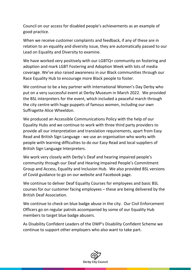Council on our access for disabled people's achievements as an example of good practice.

When we receive customer complaints and feedback, if any of these are in relation to an equality and diversity issue, they are automatically passed to our Lead on Equality and Diversity to examine.

We have worked very positively with our LGBTQ+ community on fostering and adoption and mark LGBT Fostering and Adoption Week with lots of media coverage. We've also raised awareness in our Black communities through our Race Equality Hub to encourage more Black people to foster.

We continue to be a key partner with International Women's Day Derby who put on a very successful event at Derby Museum in March 2022. We provided the BSL interpreters for the event, which included a peaceful march through the city centre with huge puppets of famous women, including our own Suffragette Alice Wheeldon.

We produced an Accessible Communications Policy with the help of our Equality Hubs and we continue to work with three third party providers to provide all our interpretation and translation requirements, apart from Easy Read and British Sign Language - we use an organisation who works with people with learning difficulties to do our Easy Read and local suppliers of British Sign Language Interpreters.

We work very closely with Derby's Deaf and hearing impaired people's community through our Deaf and Hearing Impaired People's Commitment Group and Access, Equality and Inclusion Hub. We also provided BSL versions of Covid guidance to go on our website and Facebook page.

We continue to deliver Deaf Equality Courses for employees and basic BSL courses for our customer facing employees – these are being delivered by the British Deaf Association.

We continue to check on blue badge abuse in the city. Our Civil Enforcement Officers go on regular patrols accompanied by some of our Equality Hub members to target blue badge abusers.

As Disability Confident Leaders of the DWP's Disability Confident Scheme we continue to support other employers who also want to take part.

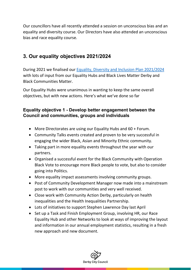Our councillors have all recently attended a session on unconscious bias and an equality and diversity course. Our Directors have also attended an unconscious bias and race equality course.

# **3. Our equality objectives 2021/2024**

During 2021 we finalised our [Equality, Diversity and Inclusion Plan 2021/2024](https://www.derby.gov.uk/media/derbycitycouncil/contentassets/documents/communityandliving/equalities/equality-diversity-inclusion-plan-2021-2024.pdf)  with lots of input from our Equality Hubs and Black Lives Matter Derby and Black Communities Matter.

Our Equality Hubs were unanimous in wanting to keep the same overall objectives, but with new actions. Here's what we've done so far

#### **Equality objective 1 - Develop better engagement between the Council and communities, groups and individuals**

- More Directorates are using our Equality Hubs and 60 + Forum.
- Community Talks events created and proven to be very successful in engaging the wider Black, Asian and Minority Ethnic community.
- Taking part in more equality events throughout the year with our partners.
- Organised a successful event for the Black Community with Operation Black Vote to encourage more Black people to vote, but also to consider going into Politics.
- More equality impact assessments involving community groups.
- Post of Community Development Manager now made into a mainstream post to work with our communities and very well received.
- Close work with Community Action Derby, particularly on health inequalities and the Health Inequalities Partnership.
- Lots of initiatives to support Stephen Lawrence Day last April
- Set up a Task and Finish Employment Group, involving HR, our Race Equality Hub and other Networks to look at ways of improving the layout and information in our annual employment statistics, resulting in a fresh new approach and new document.

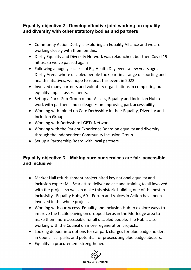## **Equality objective 2 - Develop effective joint working on equality and diversity with other statutory bodies and partners**

- Community Action Derby is exploring an Equality Alliance and we are working closely with them on this.
- Derby Equality and Diversity Network was relaunched, but then Covid 19 hit us, so we've paused again
- Following a hugely successful Big Health Day event a few years ago at Derby Arena where disabled people took part in a range of sporting and health initiatives, we hope to repeat this event in 2022.
- Involved many partners and voluntary organisations in completing our equality impact assessments.
- Set up a Parks Sub-Group of our Access, Equality and Inclusion Hub to work with partners and colleagues on improving park accessibility.
- Working with Joined up Care Derbyshire in their Equality, Diversity and Inclusion Group
- Working with Derbyshire LGBT+ Network
- Working with the Patient Experience Board on equality and diversity through the Independent Community Inclusion Group
- Set up a Partnership Board with local partners .

## **Equality objective 3 – Making sure our services are fair, accessible and inclusive**

- Market Hall refurbishment project hired key national equality and inclusion expert Mik Scarlett to deliver advice and training to all involved with the project so we can make this historic building one of the best in inclusivity - Equality Hubs, 60 + Forum and Voices in Action have been involved in the whole project.
- Working with our Access, Equality and Inclusion Hub to explore ways to improve the tactile paving on dropped kerbs in the Morledge area to make them more accessible for all disabled people. The Hub is also working with the Council on more regeneration projects.
- Looking deeper into options for car park charges for blue badge holders in Council car parks and potential for prosecuting blue badge abusers.
- Equality in procurement strengthened.

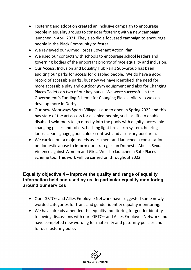- Fostering and adoption created an inclusive campaign to encourage people in equality groups to consider fostering with a new campaign launched in April 2021. They also did a focussed campaign to encourage people in the Black Community to foster.
- We reviewed our Armed Forces Covenant Action Plan.
- We used our contacts with schools to encourage school leaders and governing bodies of the important priority of race equality and inclusion.
- Our Access, Inclusion and Equality Hub Parks Sub-Group has been auditing our parks for access for disabled people. We do have a good record of accessible parks, but now we have identified the need for more accessible play and outdoor gym equipment and also for Changing Places Toilets on two of our key parks. We were successful in the Government's Funding Scheme for Changing Places toilets so we can develop more in Derby.
- Our new Moorways Sports Village is due to open in Spring 2022 and this has state of the art access for disabled people, such as lifts to enable disabled swimmers to go directly into the pools with dignity, accessible changing places and toilets, flashing light fire alarm system, hearing loops, clear signage, good colour contrast and a sensory pool area.
- We carried out a major needs assessment and launched a consultation on domestic abuse to inform our strategies on Domestic Abuse, Sexual Violence against Women and Girls. We also launched a Safe Places Scheme too. This work will be carried on throughout 2022

#### **Equality objective 4 – Improve the quality and range of equality information held and used by us, in particular equality monitoring around our services**

- Our LGBTQ+ and Allies Employee Network have suggested some newly worded categories for trans and gender identity equality monitoring.
- We have already amended the equality monitoring for gender identity following discussions with our LGBTQ+ and Allies Employee Network and have completed new wording for maternity and paternity policies and for our fostering policy.

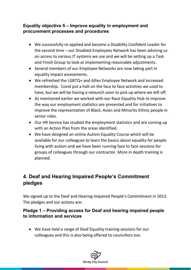#### **Equality objective 5 – Improve equality in employment and procurement processes and procedures**

- We successfully re-applied and became a Disability Confident Leader for the second time – our Disabled Employees Network has been advising us on access to various IT systems we use and we will be setting up a Task and Finish Group to look at implementing reasonable adjustments.
- Several members of our Employee Networks are now taking part in equality impact assessments.
- We refreshed the LGBTQ+ and Allies Employee Network and increased membership. Covid put a halt on the face to face activities we used to have, but we will be having a relaunch soon to pick up where we left off.
- As mentioned earlier we worked with our Race Equality Hub to improve the way our employment statistics are presented and for initiatives to improve the representation of Black, Asian and Minority Ethnic people in senior roles.
- Our HR Service has studied the employment statistics and are coming up with an Action Plan from the areas identified.
- We have designed an online Autism Equality Course which will be available for our colleagues to learn the basics about equality for people living with autism and we have been running face to face sessions for groups of colleagues through our contractor. More in depth training is planned.

# **4. Deaf and Hearing Impaired People's Commitment pledges**

We signed up to the Deaf and Hearing Impaired People's Commitment in 2013. The pledges and our actions are:

#### **Pledge 1 – Providing access for Deaf and hearing impaired people to information and services**

• We have held a range of Deaf Equality training sessions for our colleagues and this is also being offered to councillors too.

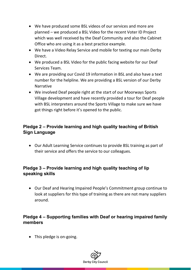- We have produced some BSL videos of our services and more are planned – we produced a BSL Video for the recent Voter ID Project which was well received by the Deaf Community and also the Cabinet Office who are using it as a best practice example.
- We have a Video Relay Service and mobile for texting our main Derby Direct.
- We produced a BSL Video for the public facing website for our Deaf Services Team.
- We are providing our Covid 19 information in BSL and also have a text number for the helpline. We are providing a BSL version of our Derby Narrative
- We involved Deaf people right at the start of our Moorways Sports Village development and have recently provided a tour for Deaf people with BSL interpreters around the Sports Village to make sure we have got things right before it's opened to the public.

## **Pledge 2 – Provide learning and high quality teaching of British Sign Language**

• Our Adult Learning Service continues to provide BSL training as part of their service and offers the service to our colleagues.

## **Pledge 3 – Provide learning and high quality teaching of lip speaking skills**

• Our Deaf and Hearing Impaired People's Commitment group continue to look at suppliers for this type of training as there are not many suppliers around.

#### **Pledge 4 – Supporting families with Deaf or hearing impaired family members**

• This pledge is on-going.

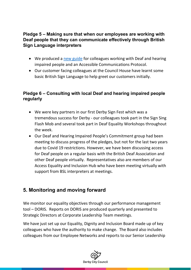#### **Pledge 5 – Making sure that when our employees are working with Deaf people that they can communicate effectively through British Sign Language interpreters**

- We produced a [new guide](https://www.derby.gov.uk/community-and-living/equality-diversity/deaf-commitment/) for colleagues working with Deaf and hearing impaired people and an Accessible Communications Protocol.
- Our customer facing colleagues at the Council House have learnt some basic British Sign Language to help greet our customers initially.

### **Pledge 6 – Consulting with local Deaf and hearing impaired people regularly**

- We were key partners in our first Derby Sign Fest which was a tremendous success for Derby - our colleagues took part in the Sign Sing Flash Mob and several took part in Deaf Equality Workshops throughout the week.
- Our Deaf and Hearing Impaired People's Commitment group had been meeting to discuss progress of the pledges, but not for the last two years due to Covid 19 restrictions. However, we have been discussing access for Deaf people on a regular basis with the British Deaf Association and other Deaf people virtually. Representatives also are members of our Access Equality and Inclusion Hub who have been meeting virtually with support from BSL interpreters at meetings.

# **5. Monitoring and moving forward**

We monitor our equality objectives through our performance management tool – DORIS. Reports on DORIS are produced quarterly and presented to Strategic Directors at Corporate Leadership Team meetings.

We have just set up our Equality, Dignity and Inclusion Board made up of key colleagues who have the authority to make change. The Board also includes colleagues from our Employee Networks and reports to our Senior Leadership

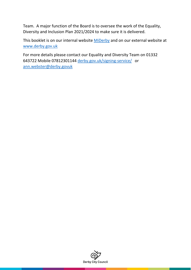Team. A major function of the Board is to oversee the work of the Equality, Diversity and Inclusion Plan 2021/2024 to make sure it is delivered.

This booklet is on our internal website [MiDerby](https://iderby.derby.gov.uk/governance/equality-diversity/equality-act/) and on our external website at [www.derby.gov.uk](http://www.derby.gov.uk/)

For more details please contact our Equality and Diversity Team on 01332 643722 Mobile 07812301144 [derby.gov.uk/signing-service/](https://m365.eu.vadesecure.com/safeproxy/v4?f=cz0ZWu24j28Vl3BzVuSdCoMCDHCpL9JaioWisQGi8S3bCtXk5W_yq3A1dfyVYoVx&i=PzsE2Gw3YTbfFz6VRd0Fp7PxwveHyJEAnSRCrEBoAvjp2JnIw93iHpjapoZiIAzMglI-pzPfWmh3zAXeaCy-cA&k=eT2K&r=WEhxufS7rROOSKWC-Ni-ndX3MbR3jmgif-yU_rjLBEeXieKDl9GVjsBYwsEYj00cS2TOCi-p9sppx0CalkJbVw&s=276a2020258c8586ddb25bb54ee75c8fa638b7e241f542e2eb47998ae5359519&u=http%3A%2F%2Fwww.derby.gov.uk%2Fsigning-service%2F) or [ann.webster@derby.govuk](mailto:ann.webster@derby.govuk)